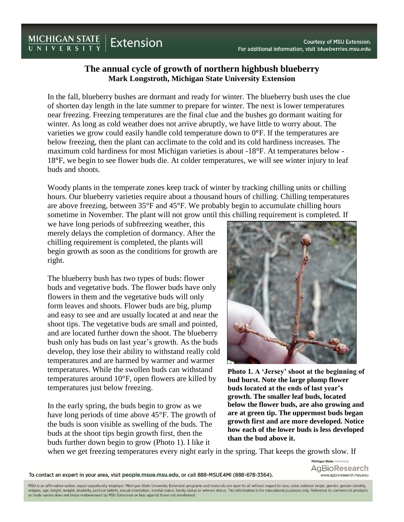## **Courtesy of MSU Extension.** For additional information, visit blueberries.msu.edu

## **The annual cycle of growth of northern highbush blueberry Mark Longstroth, Michigan State University Extension**

In the fall, blueberry bushes are dormant and ready for winter. The blueberry bush uses the clue of shorten day length in the late summer to prepare for winter. The next is lower temperatures near freezing. Freezing temperatures are the final clue and the bushes go dormant waiting for winter. As long as cold weather does not arrive abruptly, we have little to worry about. The varieties we grow could easily handle cold temperature down to 0**°**F. If the temperatures are below freezing, then the plant can acclimate to the cold and its cold hardiness increases. The maximum cold hardiness for most Michigan varieties is about -18**°**F. At temperatures below - 18**°**F, we begin to see flower buds die. At colder temperatures, we will see winter injury to leaf buds and shoots.

Woody plants in the temperate zones keep track of winter by tracking chilling units or chilling hours. Our blueberry varieties require about a thousand hours of chilling. Chilling temperatures are above freezing, between 35°F and 45°F. We probably begin to accumulate chilling hours sometime in November. The plant will not grow until this chilling requirement is completed. If

we have long periods of subfreezing weather, this merely delays the completion of dormancy. After the chilling requirement is completed, the plants will begin growth as soon as the conditions for growth are right.

The blueberry bush has two types of buds: flower buds and vegetative buds. The flower buds have only flowers in them and the vegetative buds will only form leaves and shoots. Flower buds are big, plump and easy to see and are usually located at and near the shoot tips. The vegetative buds are small and pointed, and are located further down the shoot. The blueberry bush only has buds on last year's growth. As the buds develop, they lose their ability to withstand really cold temperatures and are harmed by warmer and warmer temperatures. While the swollen buds can withstand temperatures around 10°F, open flowers are killed by temperatures just below freezing.

In the early spring, the buds begin to grow as we have long periods of time above 45°F. The growth of the buds is soon visible as swelling of the buds. The buds at the shoot tips begin growth first, then the buds further down begin to grow (Photo 1). I like it



**Photo 1. A 'Jersey' shoot at the beginning of bud burst. Note the large plump flower buds located at the ends of last year's growth. The smaller leaf buds, located below the flower buds, are also growing and are at green tip. The uppermost buds began growth first and are more developed. Notice how each of the lower buds is less developed than the bud above it.**

when we get freezing temperatures every night early in the spring. That keeps the growth slow. If

To contact an expert in your area, visit people.msue.msu.edu, or call 888-MSUE4MI (888-678-3364).

Michigan State University AgBioResearch www.aqbioresearch.msu.edu

MSU is an affirmative-action, equal-opportunity employer. Michigan State University Extension programs and materials are open to all without regard to race, color, national origin, gender, gender identity, religion, age, height, weight, disability, political beliefs, sexual orientation, marital status, family status or veteran status. This information is for educational purposes only. Reference to commercial products or trade names does not imply endorsement by MSU Extension or bias against those not mentioned.